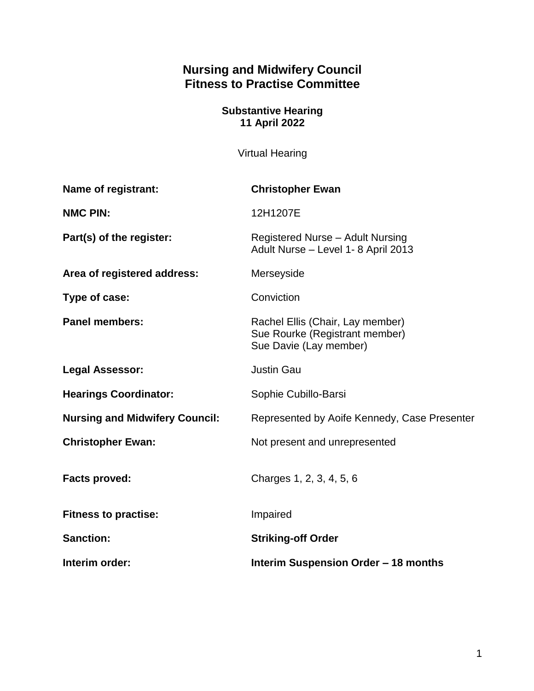# **Nursing and Midwifery Council Fitness to Practise Committee**

#### **Substantive Hearing 11 April 2022**

Virtual Hearing

| Name of registrant:                   | <b>Christopher Ewan</b>                                                                      |
|---------------------------------------|----------------------------------------------------------------------------------------------|
| <b>NMC PIN:</b>                       | 12H1207E                                                                                     |
| Part(s) of the register:              | Registered Nurse - Adult Nursing<br>Adult Nurse - Level 1-8 April 2013                       |
| Area of registered address:           | Merseyside                                                                                   |
| Type of case:                         | Conviction                                                                                   |
| <b>Panel members:</b>                 | Rachel Ellis (Chair, Lay member)<br>Sue Rourke (Registrant member)<br>Sue Davie (Lay member) |
| <b>Legal Assessor:</b>                | <b>Justin Gau</b>                                                                            |
| <b>Hearings Coordinator:</b>          | Sophie Cubillo-Barsi                                                                         |
| <b>Nursing and Midwifery Council:</b> | Represented by Aoife Kennedy, Case Presenter                                                 |
| <b>Christopher Ewan:</b>              | Not present and unrepresented                                                                |
| <b>Facts proved:</b>                  | Charges 1, 2, 3, 4, 5, 6                                                                     |
| <b>Fitness to practise:</b>           | Impaired                                                                                     |
| <b>Sanction:</b>                      | <b>Striking-off Order</b>                                                                    |
| Interim order:                        | Interim Suspension Order - 18 months                                                         |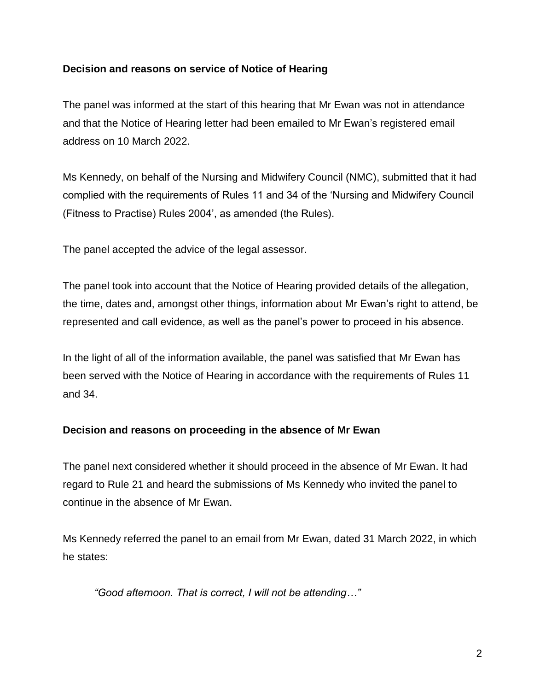### **Decision and reasons on service of Notice of Hearing**

The panel was informed at the start of this hearing that Mr Ewan was not in attendance and that the Notice of Hearing letter had been emailed to Mr Ewan's registered email address on 10 March 2022.

Ms Kennedy, on behalf of the Nursing and Midwifery Council (NMC), submitted that it had complied with the requirements of Rules 11 and 34 of the 'Nursing and Midwifery Council (Fitness to Practise) Rules 2004', as amended (the Rules).

The panel accepted the advice of the legal assessor.

The panel took into account that the Notice of Hearing provided details of the allegation, the time, dates and, amongst other things, information about Mr Ewan's right to attend, be represented and call evidence, as well as the panel's power to proceed in his absence.

In the light of all of the information available, the panel was satisfied that Mr Ewan has been served with the Notice of Hearing in accordance with the requirements of Rules 11 and 34.

### **Decision and reasons on proceeding in the absence of Mr Ewan**

The panel next considered whether it should proceed in the absence of Mr Ewan. It had regard to Rule 21 and heard the submissions of Ms Kennedy who invited the panel to continue in the absence of Mr Ewan.

Ms Kennedy referred the panel to an email from Mr Ewan, dated 31 March 2022, in which he states:

*"Good afternoon. That is correct, I will not be attending…"*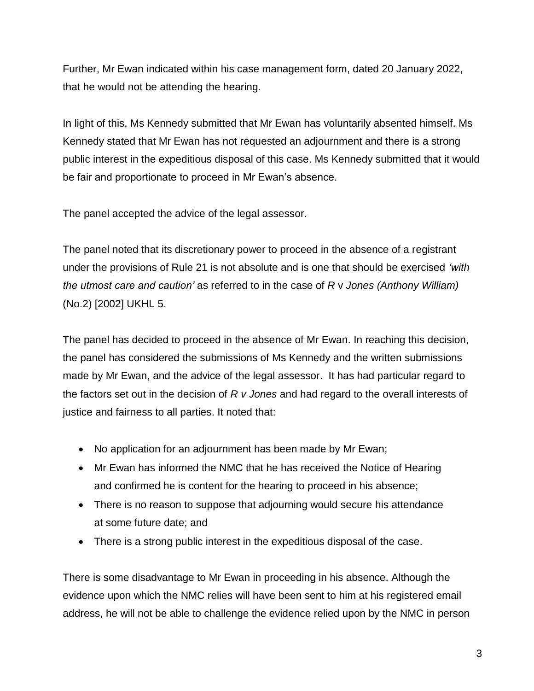Further, Mr Ewan indicated within his case management form, dated 20 January 2022, that he would not be attending the hearing.

In light of this, Ms Kennedy submitted that Mr Ewan has voluntarily absented himself. Ms Kennedy stated that Mr Ewan has not requested an adjournment and there is a strong public interest in the expeditious disposal of this case. Ms Kennedy submitted that it would be fair and proportionate to proceed in Mr Ewan's absence.

The panel accepted the advice of the legal assessor.

The panel noted that its discretionary power to proceed in the absence of a registrant under the provisions of Rule 21 is not absolute and is one that should be exercised *'with the utmost care and caution'* as referred to in the case of *R* v *Jones (Anthony William)* (No.2) [2002] UKHL 5.

The panel has decided to proceed in the absence of Mr Ewan. In reaching this decision, the panel has considered the submissions of Ms Kennedy and the written submissions made by Mr Ewan, and the advice of the legal assessor. It has had particular regard to the factors set out in the decision of *R v Jones* and had regard to the overall interests of justice and fairness to all parties. It noted that:

- No application for an adjournment has been made by Mr Ewan;
- Mr Ewan has informed the NMC that he has received the Notice of Hearing and confirmed he is content for the hearing to proceed in his absence;
- There is no reason to suppose that adjourning would secure his attendance at some future date; and
- There is a strong public interest in the expeditious disposal of the case.

There is some disadvantage to Mr Ewan in proceeding in his absence. Although the evidence upon which the NMC relies will have been sent to him at his registered email address, he will not be able to challenge the evidence relied upon by the NMC in person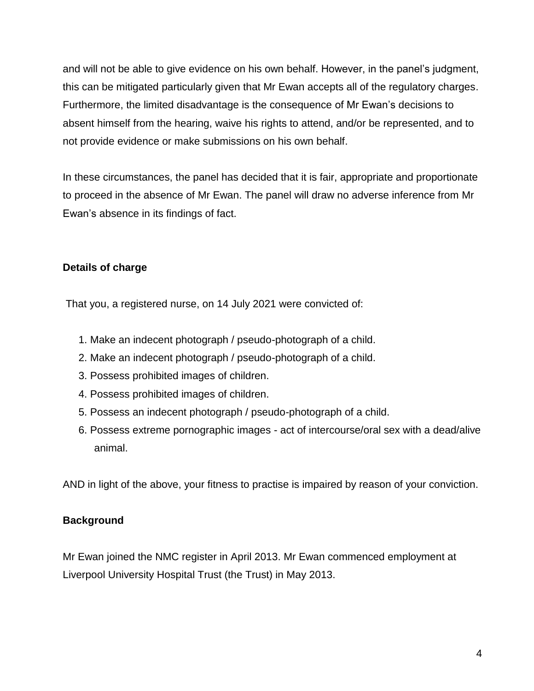and will not be able to give evidence on his own behalf. However, in the panel's judgment, this can be mitigated particularly given that Mr Ewan accepts all of the regulatory charges. Furthermore, the limited disadvantage is the consequence of Mr Ewan's decisions to absent himself from the hearing, waive his rights to attend, and/or be represented, and to not provide evidence or make submissions on his own behalf.

In these circumstances, the panel has decided that it is fair, appropriate and proportionate to proceed in the absence of Mr Ewan. The panel will draw no adverse inference from Mr Ewan's absence in its findings of fact.

## **Details of charge**

That you, a registered nurse, on 14 July 2021 were convicted of:

- 1. Make an indecent photograph / pseudo-photograph of a child.
- 2. Make an indecent photograph / pseudo-photograph of a child.
- 3. Possess prohibited images of children.
- 4. Possess prohibited images of children.
- 5. Possess an indecent photograph / pseudo-photograph of a child.
- 6. Possess extreme pornographic images act of intercourse/oral sex with a dead/alive animal.

AND in light of the above, your fitness to practise is impaired by reason of your conviction.

## **Background**

Mr Ewan joined the NMC register in April 2013. Mr Ewan commenced employment at Liverpool University Hospital Trust (the Trust) in May 2013.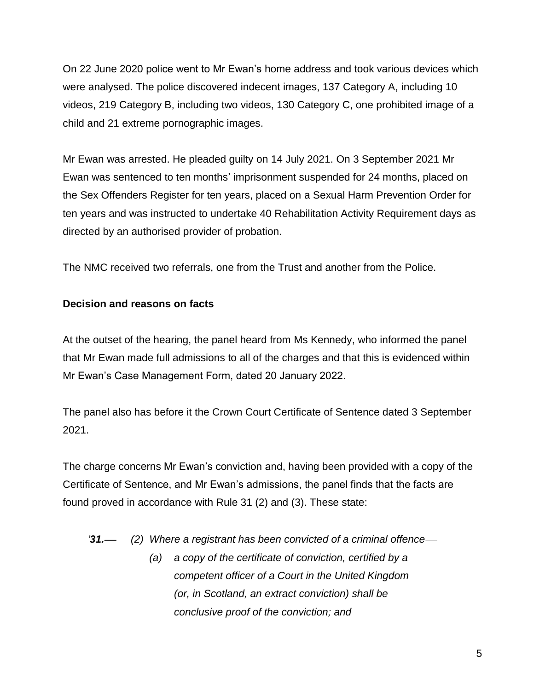On 22 June 2020 police went to Mr Ewan's home address and took various devices which were analysed. The police discovered indecent images, 137 Category A, including 10 videos, 219 Category B, including two videos, 130 Category C, one prohibited image of a child and 21 extreme pornographic images.

Mr Ewan was arrested. He pleaded guilty on 14 July 2021. On 3 September 2021 Mr Ewan was sentenced to ten months' imprisonment suspended for 24 months, placed on the Sex Offenders Register for ten years, placed on a Sexual Harm Prevention Order for ten years and was instructed to undertake 40 Rehabilitation Activity Requirement days as directed by an authorised provider of probation.

The NMC received two referrals, one from the Trust and another from the Police.

## **Decision and reasons on facts**

At the outset of the hearing, the panel heard from Ms Kennedy, who informed the panel that Mr Ewan made full admissions to all of the charges and that this is evidenced within Mr Ewan's Case Management Form, dated 20 January 2022.

The panel also has before it the Crown Court Certificate of Sentence dated 3 September 2021.

The charge concerns Mr Ewan's conviction and, having been provided with a copy of the Certificate of Sentence, and Mr Ewan's admissions, the panel finds that the facts are found proved in accordance with Rule 31 (2) and (3). These state:

*'31. (2) Where a registrant has been convicted of a criminal offence*

*(a) a copy of the certificate of conviction, certified by a competent officer of a Court in the United Kingdom (or, in Scotland, an extract conviction) shall be conclusive proof of the conviction; and*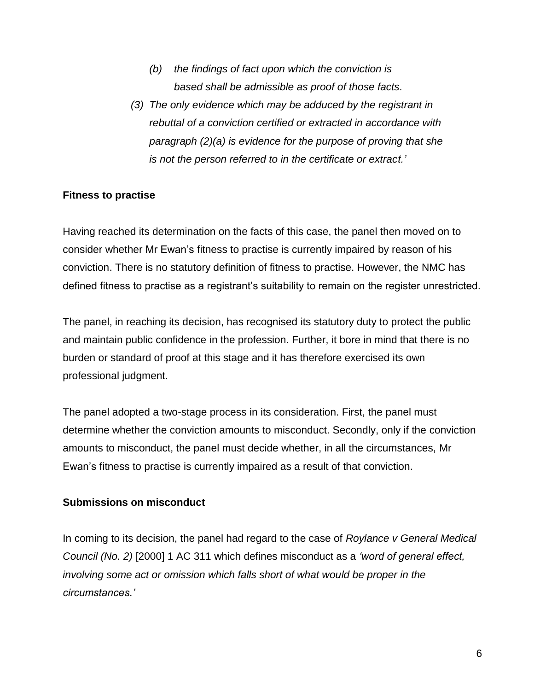- *(b) the findings of fact upon which the conviction is based shall be admissible as proof of those facts.*
- *(3) The only evidence which may be adduced by the registrant in rebuttal of a conviction certified or extracted in accordance with paragraph (2)(a) is evidence for the purpose of proving that she is not the person referred to in the certificate or extract.'*

#### **Fitness to practise**

Having reached its determination on the facts of this case, the panel then moved on to consider whether Mr Ewan's fitness to practise is currently impaired by reason of his conviction. There is no statutory definition of fitness to practise. However, the NMC has defined fitness to practise as a registrant's suitability to remain on the register unrestricted.

The panel, in reaching its decision, has recognised its statutory duty to protect the public and maintain public confidence in the profession. Further, it bore in mind that there is no burden or standard of proof at this stage and it has therefore exercised its own professional judgment.

The panel adopted a two-stage process in its consideration. First, the panel must determine whether the conviction amounts to misconduct. Secondly, only if the conviction amounts to misconduct, the panel must decide whether, in all the circumstances, Mr Ewan's fitness to practise is currently impaired as a result of that conviction.

#### **Submissions on misconduct**

In coming to its decision, the panel had regard to the case of *Roylance v General Medical Council (No. 2)* [2000] 1 AC 311 which defines misconduct as a *'word of general effect, involving some act or omission which falls short of what would be proper in the circumstances.'*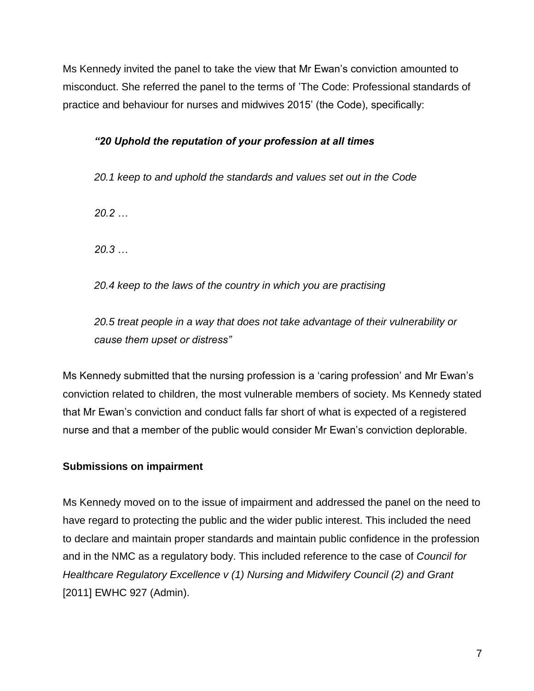Ms Kennedy invited the panel to take the view that Mr Ewan's conviction amounted to misconduct. She referred the panel to the terms of 'The Code: Professional standards of practice and behaviour for nurses and midwives 2015' (the Code), specifically:

## *"20 Uphold the reputation of your profession at all times*

*20.1 keep to and uphold the standards and values set out in the Code*

*20.2 …*

*20.3 …*

*20.4 keep to the laws of the country in which you are practising*

*20.5 treat people in a way that does not take advantage of their vulnerability or cause them upset or distress"*

Ms Kennedy submitted that the nursing profession is a 'caring profession' and Mr Ewan's conviction related to children, the most vulnerable members of society. Ms Kennedy stated that Mr Ewan's conviction and conduct falls far short of what is expected of a registered nurse and that a member of the public would consider Mr Ewan's conviction deplorable.

## **Submissions on impairment**

Ms Kennedy moved on to the issue of impairment and addressed the panel on the need to have regard to protecting the public and the wider public interest. This included the need to declare and maintain proper standards and maintain public confidence in the profession and in the NMC as a regulatory body. This included reference to the case of *Council for Healthcare Regulatory Excellence v (1) Nursing and Midwifery Council (2) and Grant*  [2011] EWHC 927 (Admin).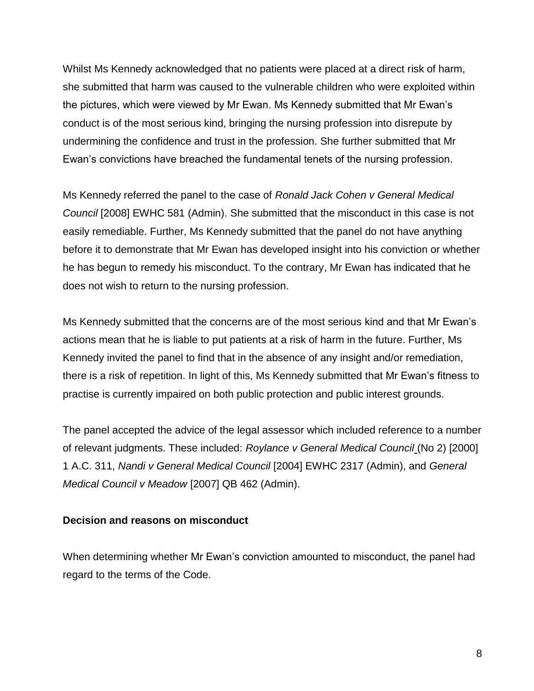Whilst Ms Kennedy acknowledged that no patients were placed at a direct risk of harm, she submitted that harm was caused to the vulnerable children who were exploited within the pictures, which were viewed by Mr Ewan. Ms Kennedy submitted that Mr Ewan's conduct is of the most serious kind, bringing the nursing profession into disrepute by undermining the confidence and trust in the profession. She further submitted that Mr Ewan's convictions have breached the fundamental tenets of the nursing profession.

Ms Kennedy referred the panel to the case of *Ronald Jack Cohen v General Medical Council* [2008] EWHC 581 (Admin). She submitted that the misconduct in this case is not easily remediable. Further, Ms Kennedy submitted that the panel do not have anything before it to demonstrate that Mr Ewan has developed insight into his conviction or whether he has begun to remedy his misconduct. To the contrary, Mr Ewan has indicated that he does not wish to return to the nursing profession.

Ms Kennedy submitted that the concerns are of the most serious kind and that Mr Ewan's actions mean that he is liable to put patients at a risk of harm in the future. Further, Ms Kennedy invited the panel to find that in the absence of any insight and/or remediation, there is a risk of repetition. In light of this, Ms Kennedy submitted that Mr Ewan's fitness to practise is currently impaired on both public protection and public interest grounds.

The panel accepted the advice of the legal assessor which included reference to a number of relevant judgments. These included: *Roylance v General Medical Council* (No 2) [2000] 1 A.C. 311, *Nandi v General Medical Council* [2004] EWHC 2317 (Admin), and *General Medical Council v Meadow* [2007] QB 462 (Admin).

### **Decision and reasons on misconduct**

When determining whether Mr Ewan's conviction amounted to misconduct, the panel had regard to the terms of the Code.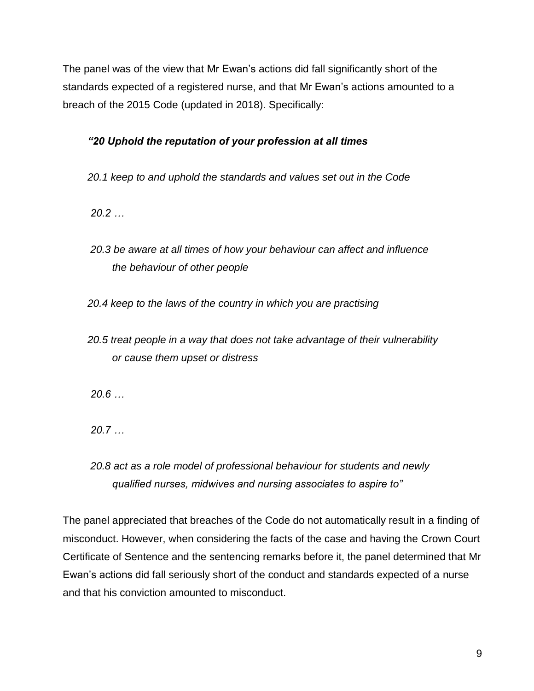The panel was of the view that Mr Ewan's actions did fall significantly short of the standards expected of a registered nurse, and that Mr Ewan's actions amounted to a breach of the 2015 Code (updated in 2018). Specifically:

## *"20 Uphold the reputation of your profession at all times*

*20.1 keep to and uphold the standards and values set out in the Code*

*20.2 …*

*20.3 be aware at all times of how your behaviour can affect and influence the behaviour of other people* 

*20.4 keep to the laws of the country in which you are practising* 

*20.5 treat people in a way that does not take advantage of their vulnerability or cause them upset or distress*

*20.6 …*

*20.7 …*

*20.8 act as a role model of professional behaviour for students and newly qualified nurses, midwives and nursing associates to aspire to"*

The panel appreciated that breaches of the Code do not automatically result in a finding of misconduct. However, when considering the facts of the case and having the Crown Court Certificate of Sentence and the sentencing remarks before it, the panel determined that Mr Ewan's actions did fall seriously short of the conduct and standards expected of a nurse and that his conviction amounted to misconduct.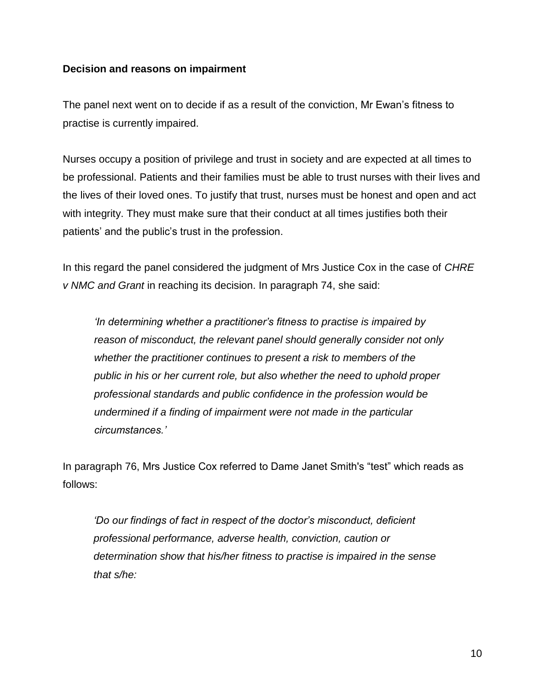#### **Decision and reasons on impairment**

The panel next went on to decide if as a result of the conviction, Mr Ewan's fitness to practise is currently impaired.

Nurses occupy a position of privilege and trust in society and are expected at all times to be professional. Patients and their families must be able to trust nurses with their lives and the lives of their loved ones. To justify that trust, nurses must be honest and open and act with integrity. They must make sure that their conduct at all times justifies both their patients' and the public's trust in the profession.

In this regard the panel considered the judgment of Mrs Justice Cox in the case of *CHRE v NMC and Grant* in reaching its decision. In paragraph 74, she said:

*'In determining whether a practitioner's fitness to practise is impaired by reason of misconduct, the relevant panel should generally consider not only whether the practitioner continues to present a risk to members of the public in his or her current role, but also whether the need to uphold proper professional standards and public confidence in the profession would be undermined if a finding of impairment were not made in the particular circumstances.'*

In paragraph 76, Mrs Justice Cox referred to Dame Janet Smith's "test" which reads as follows:

*'Do our findings of fact in respect of the doctor's misconduct, deficient professional performance, adverse health, conviction, caution or determination show that his/her fitness to practise is impaired in the sense that s/he:*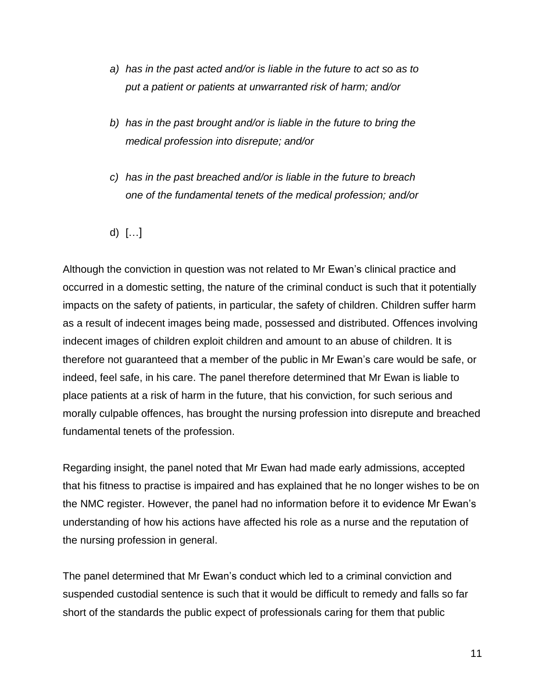- *a) has in the past acted and/or is liable in the future to act so as to put a patient or patients at unwarranted risk of harm; and/or*
- *b) has in the past brought and/or is liable in the future to bring the medical profession into disrepute; and/or*
- *c) has in the past breached and/or is liable in the future to breach one of the fundamental tenets of the medical profession; and/or*
- d) […]

Although the conviction in question was not related to Mr Ewan's clinical practice and occurred in a domestic setting, the nature of the criminal conduct is such that it potentially impacts on the safety of patients, in particular, the safety of children. Children suffer harm as a result of indecent images being made, possessed and distributed. Offences involving indecent images of children exploit children and amount to an abuse of children. It is therefore not guaranteed that a member of the public in Mr Ewan's care would be safe, or indeed, feel safe, in his care. The panel therefore determined that Mr Ewan is liable to place patients at a risk of harm in the future, that his conviction, for such serious and morally culpable offences, has brought the nursing profession into disrepute and breached fundamental tenets of the profession.

Regarding insight, the panel noted that Mr Ewan had made early admissions, accepted that his fitness to practise is impaired and has explained that he no longer wishes to be on the NMC register. However, the panel had no information before it to evidence Mr Ewan's understanding of how his actions have affected his role as a nurse and the reputation of the nursing profession in general.

The panel determined that Mr Ewan's conduct which led to a criminal conviction and suspended custodial sentence is such that it would be difficult to remedy and falls so far short of the standards the public expect of professionals caring for them that public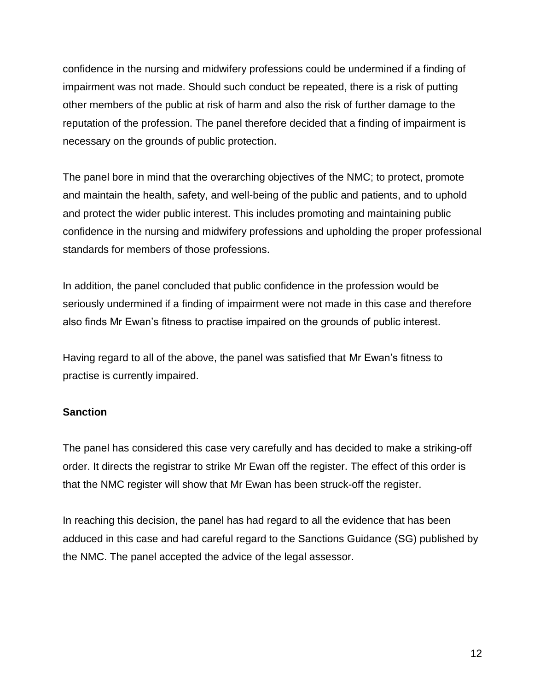confidence in the nursing and midwifery professions could be undermined if a finding of impairment was not made. Should such conduct be repeated, there is a risk of putting other members of the public at risk of harm and also the risk of further damage to the reputation of the profession. The panel therefore decided that a finding of impairment is necessary on the grounds of public protection.

The panel bore in mind that the overarching objectives of the NMC; to protect, promote and maintain the health, safety, and well-being of the public and patients, and to uphold and protect the wider public interest. This includes promoting and maintaining public confidence in the nursing and midwifery professions and upholding the proper professional standards for members of those professions.

In addition, the panel concluded that public confidence in the profession would be seriously undermined if a finding of impairment were not made in this case and therefore also finds Mr Ewan's fitness to practise impaired on the grounds of public interest.

Having regard to all of the above, the panel was satisfied that Mr Ewan's fitness to practise is currently impaired.

### **Sanction**

The panel has considered this case very carefully and has decided to make a striking-off order. It directs the registrar to strike Mr Ewan off the register. The effect of this order is that the NMC register will show that Mr Ewan has been struck-off the register.

In reaching this decision, the panel has had regard to all the evidence that has been adduced in this case and had careful regard to the Sanctions Guidance (SG) published by the NMC. The panel accepted the advice of the legal assessor.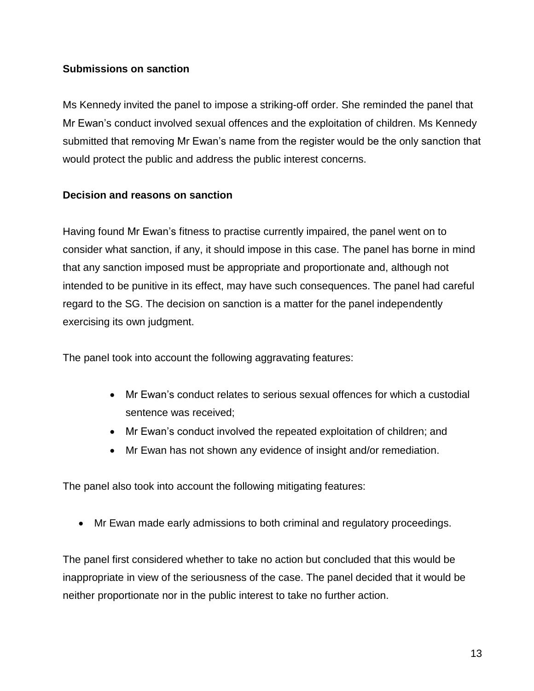### **Submissions on sanction**

Ms Kennedy invited the panel to impose a striking-off order. She reminded the panel that Mr Ewan's conduct involved sexual offences and the exploitation of children. Ms Kennedy submitted that removing Mr Ewan's name from the register would be the only sanction that would protect the public and address the public interest concerns.

#### **Decision and reasons on sanction**

Having found Mr Ewan's fitness to practise currently impaired, the panel went on to consider what sanction, if any, it should impose in this case. The panel has borne in mind that any sanction imposed must be appropriate and proportionate and, although not intended to be punitive in its effect, may have such consequences. The panel had careful regard to the SG. The decision on sanction is a matter for the panel independently exercising its own judgment.

The panel took into account the following aggravating features:

- Mr Ewan's conduct relates to serious sexual offences for which a custodial sentence was received;
- Mr Ewan's conduct involved the repeated exploitation of children; and
- Mr Ewan has not shown any evidence of insight and/or remediation.

The panel also took into account the following mitigating features:

Mr Ewan made early admissions to both criminal and regulatory proceedings.

The panel first considered whether to take no action but concluded that this would be inappropriate in view of the seriousness of the case. The panel decided that it would be neither proportionate nor in the public interest to take no further action.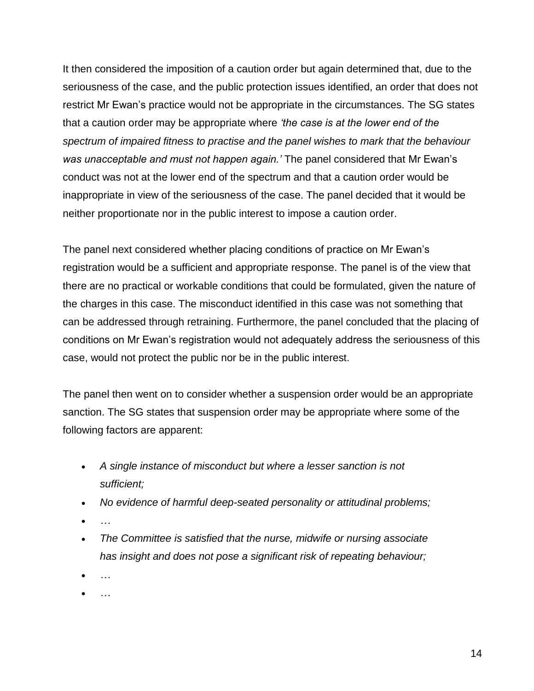It then considered the imposition of a caution order but again determined that, due to the seriousness of the case, and the public protection issues identified, an order that does not restrict Mr Ewan's practice would not be appropriate in the circumstances. The SG states that a caution order may be appropriate where *'the case is at the lower end of the spectrum of impaired fitness to practise and the panel wishes to mark that the behaviour was unacceptable and must not happen again.'* The panel considered that Mr Ewan's conduct was not at the lower end of the spectrum and that a caution order would be inappropriate in view of the seriousness of the case. The panel decided that it would be neither proportionate nor in the public interest to impose a caution order.

The panel next considered whether placing conditions of practice on Mr Ewan's registration would be a sufficient and appropriate response. The panel is of the view that there are no practical or workable conditions that could be formulated, given the nature of the charges in this case. The misconduct identified in this case was not something that can be addressed through retraining. Furthermore, the panel concluded that the placing of conditions on Mr Ewan's registration would not adequately address the seriousness of this case, would not protect the public nor be in the public interest.

The panel then went on to consider whether a suspension order would be an appropriate sanction. The SG states that suspension order may be appropriate where some of the following factors are apparent:

- *A single instance of misconduct but where a lesser sanction is not sufficient;*
- *No evidence of harmful deep-seated personality or attitudinal problems;*
- *…*
- *The Committee is satisfied that the nurse, midwife or nursing associate has insight and does not pose a significant risk of repeating behaviour;*
- *…*
- *…*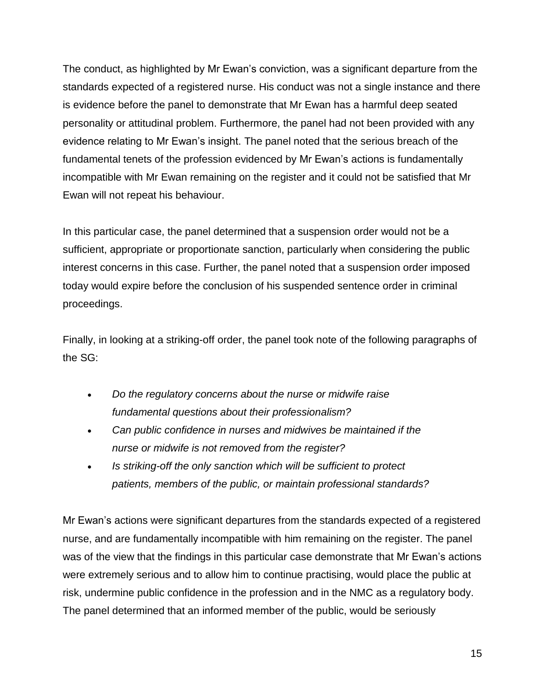The conduct, as highlighted by Mr Ewan's conviction, was a significant departure from the standards expected of a registered nurse. His conduct was not a single instance and there is evidence before the panel to demonstrate that Mr Ewan has a harmful deep seated personality or attitudinal problem. Furthermore, the panel had not been provided with any evidence relating to Mr Ewan's insight. The panel noted that the serious breach of the fundamental tenets of the profession evidenced by Mr Ewan's actions is fundamentally incompatible with Mr Ewan remaining on the register and it could not be satisfied that Mr Ewan will not repeat his behaviour.

In this particular case, the panel determined that a suspension order would not be a sufficient, appropriate or proportionate sanction, particularly when considering the public interest concerns in this case. Further, the panel noted that a suspension order imposed today would expire before the conclusion of his suspended sentence order in criminal proceedings.

Finally, in looking at a striking-off order, the panel took note of the following paragraphs of the SG:

- *Do the regulatory concerns about the nurse or midwife raise fundamental questions about their professionalism?*
- *Can public confidence in nurses and midwives be maintained if the nurse or midwife is not removed from the register?*
- *Is striking-off the only sanction which will be sufficient to protect patients, members of the public, or maintain professional standards?*

Mr Ewan's actions were significant departures from the standards expected of a registered nurse, and are fundamentally incompatible with him remaining on the register. The panel was of the view that the findings in this particular case demonstrate that Mr Ewan's actions were extremely serious and to allow him to continue practising, would place the public at risk, undermine public confidence in the profession and in the NMC as a regulatory body. The panel determined that an informed member of the public, would be seriously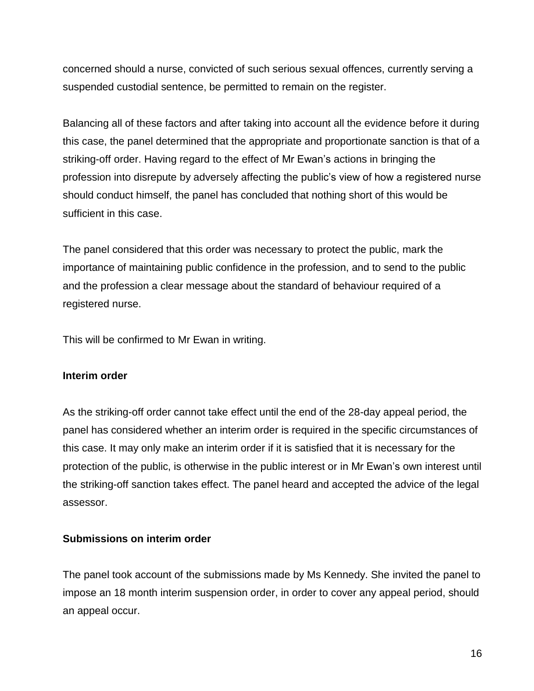concerned should a nurse, convicted of such serious sexual offences, currently serving a suspended custodial sentence, be permitted to remain on the register.

Balancing all of these factors and after taking into account all the evidence before it during this case, the panel determined that the appropriate and proportionate sanction is that of a striking-off order. Having regard to the effect of Mr Ewan's actions in bringing the profession into disrepute by adversely affecting the public's view of how a registered nurse should conduct himself, the panel has concluded that nothing short of this would be sufficient in this case.

The panel considered that this order was necessary to protect the public, mark the importance of maintaining public confidence in the profession, and to send to the public and the profession a clear message about the standard of behaviour required of a registered nurse.

This will be confirmed to Mr Ewan in writing.

### **Interim order**

As the striking-off order cannot take effect until the end of the 28-day appeal period, the panel has considered whether an interim order is required in the specific circumstances of this case. It may only make an interim order if it is satisfied that it is necessary for the protection of the public, is otherwise in the public interest or in Mr Ewan's own interest until the striking-off sanction takes effect. The panel heard and accepted the advice of the legal assessor.

### **Submissions on interim order**

The panel took account of the submissions made by Ms Kennedy. She invited the panel to impose an 18 month interim suspension order, in order to cover any appeal period, should an appeal occur.